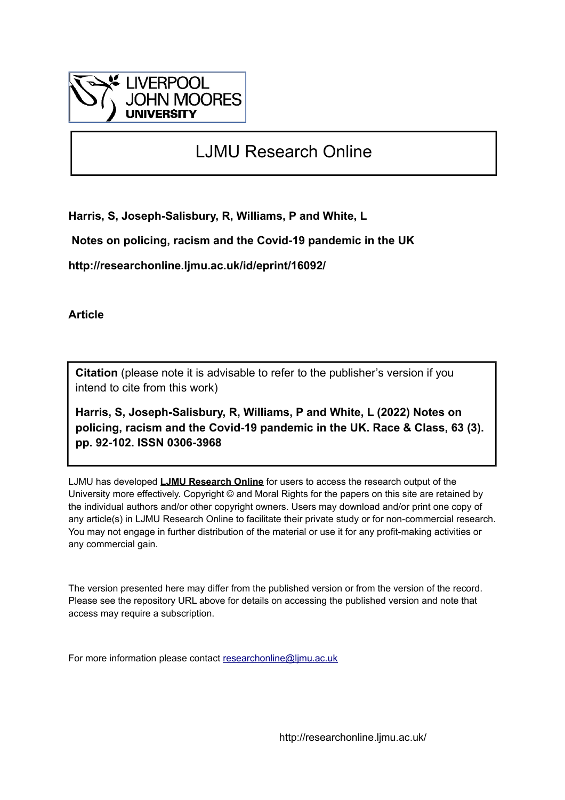

## LJMU Research Online

**Harris, S, Joseph-Salisbury, R, Williams, P and White, L**

 **Notes on policing, racism and the Covid-19 pandemic in the UK**

**http://researchonline.ljmu.ac.uk/id/eprint/16092/**

**Article**

**Citation** (please note it is advisable to refer to the publisher's version if you intend to cite from this work)

**Harris, S, Joseph-Salisbury, R, Williams, P and White, L (2022) Notes on policing, racism and the Covid-19 pandemic in the UK. Race & Class, 63 (3). pp. 92-102. ISSN 0306-3968** 

LJMU has developed **[LJMU Research Online](http://researchonline.ljmu.ac.uk/)** for users to access the research output of the University more effectively. Copyright © and Moral Rights for the papers on this site are retained by the individual authors and/or other copyright owners. Users may download and/or print one copy of any article(s) in LJMU Research Online to facilitate their private study or for non-commercial research. You may not engage in further distribution of the material or use it for any profit-making activities or any commercial gain.

The version presented here may differ from the published version or from the version of the record. Please see the repository URL above for details on accessing the published version and note that access may require a subscription.

For more information please contact [researchonline@ljmu.ac.uk](mailto:researchonline@ljmu.ac.uk)

http://researchonline.ljmu.ac.uk/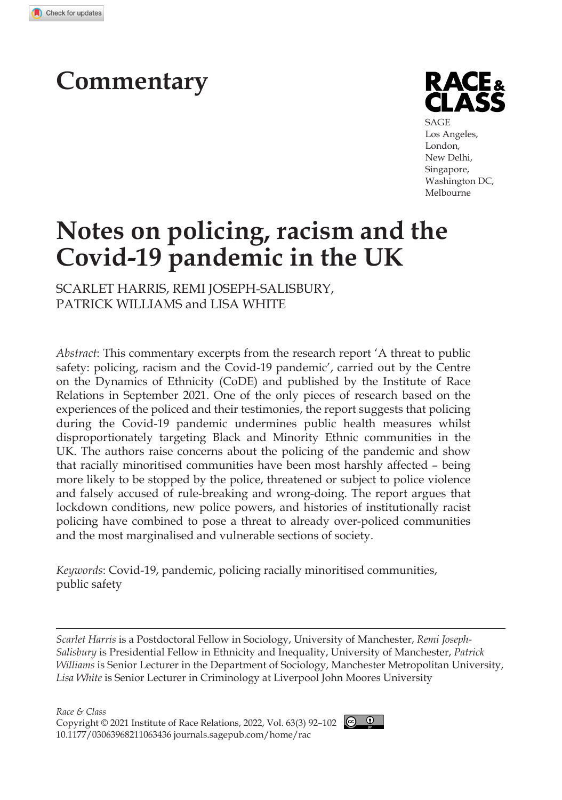# **Commentary**



SAGE Los Angeles, London, New Delhi, Singapore, Washington DC, Melbourne

# **Notes on policing, racism and the Covid-19 pandemic in the UK**

SCARLET HARRIS, REMI JOSEPH-SALISBURY, PATRICK WILLIAMS and LISA WHITE

*Abstract*: This commentary excerpts from the research report 'A threat to public safety: policing, racism and the Covid-19 pandemic', carried out by the Centre on the Dynamics of Ethnicity (CoDE) and published by the Institute of Race Relations in September 2021. One of the only pieces of research based on the experiences of the policed and their testimonies, the report suggests that policing during the Covid-19 pandemic undermines public health measures whilst disproportionately targeting Black and Minority Ethnic communities in the UK. The authors raise concerns about the policing of the pandemic and show that racially minoritised communities have been most harshly affected – being more likely to be stopped by the police, threatened or subject to police violence and falsely accused of rule-breaking and wrong-doing. The report argues that lockdown conditions, new police powers, and histories of institutionally racist policing have combined to pose a threat to already over-policed communities and the most marginalised and vulnerable sections of society.

*Keywords*: Covid-19, pandemic, policing racially minoritised communities, public safety

*Scarlet Harris* is a Postdoctoral Fellow in Sociology, University of Manchester, *Remi Joseph-Salisbury* is Presidential Fellow in Ethnicity and Inequality, University of Manchester, *Patrick Williams* is Senior Lecturer in the Department of Sociology, Manchester Metropolitan University, *Lisa White* is Senior Lecturer in Criminology at Liverpool John Moores University

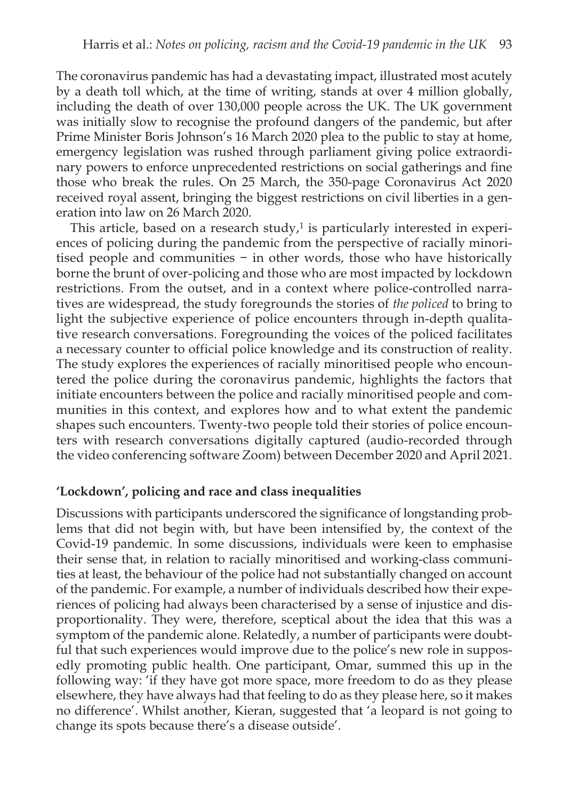The coronavirus pandemic has had a devastating impact, illustrated most acutely by a death toll which, at the time of writing, stands at over 4 million globally, including the death of over 130,000 people across the UK. The UK government was initially slow to recognise the profound dangers of the pandemic, but after Prime Minister Boris Johnson's 16 March 2020 plea to the public to stay at home, emergency legislation was rushed through parliament giving police extraordinary powers to enforce unprecedented restrictions on social gatherings and fine those who break the rules. On 25 March, the 350-page Coronavirus Act 2020 received royal assent, bringing the biggest restrictions on civil liberties in a generation into law on 26 March 2020.

This article, based on a research study, $1$  is particularly interested in experiences of policing during the pandemic from the perspective of racially minoritised people and communities − in other words, those who have historically borne the brunt of over-policing and those who are most impacted by lockdown restrictions. From the outset, and in a context where police-controlled narratives are widespread, the study foregrounds the stories of *the policed* to bring to light the subjective experience of police encounters through in-depth qualitative research conversations. Foregrounding the voices of the policed facilitates a necessary counter to official police knowledge and its construction of reality. The study explores the experiences of racially minoritised people who encountered the police during the coronavirus pandemic, highlights the factors that initiate encounters between the police and racially minoritised people and communities in this context, and explores how and to what extent the pandemic shapes such encounters. Twenty-two people told their stories of police encounters with research conversations digitally captured (audio-recorded through the video conferencing software Zoom) between December 2020 and April 2021.

#### **'Lockdown', policing and race and class inequalities**

Discussions with participants underscored the significance of longstanding problems that did not begin with, but have been intensified by, the context of the Covid-19 pandemic. In some discussions, individuals were keen to emphasise their sense that, in relation to racially minoritised and working-class communities at least, the behaviour of the police had not substantially changed on account of the pandemic. For example, a number of individuals described how their experiences of policing had always been characterised by a sense of injustice and disproportionality. They were, therefore, sceptical about the idea that this was a symptom of the pandemic alone. Relatedly, a number of participants were doubtful that such experiences would improve due to the police's new role in supposedly promoting public health. One participant, Omar, summed this up in the following way: 'if they have got more space, more freedom to do as they please elsewhere, they have always had that feeling to do as they please here, so it makes no difference'. Whilst another, Kieran, suggested that 'a leopard is not going to change its spots because there's a disease outside'.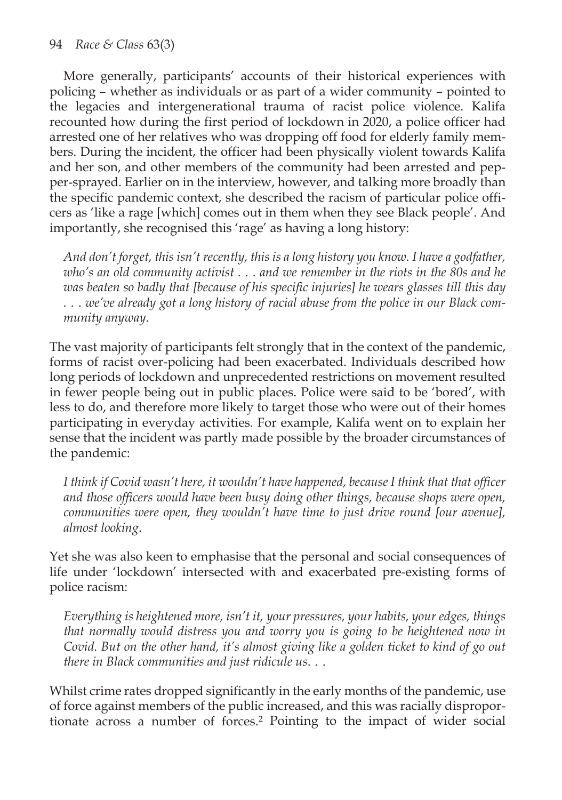More generally, participants' accounts of their historical experiences with policing – whether as individuals or as part of a wider community – pointed to the legacies and intergenerational trauma of racist police violence. Kalifa recounted how during the first period of lockdown in 2020, a police officer had arrested one of her relatives who was dropping off food for elderly family members. During the incident, the officer had been physically violent towards Kalifa and her son, and other members of the community had been arrested and pepper-sprayed. Earlier on in the interview, however, and talking more broadly than the specific pandemic context, she described the racism of particular police officers as 'like a rage [which] comes out in them when they see Black people'. And importantly, she recognised this 'rage' as having a long history:

*And don't forget, this isn't recently, this is a long history you know. I have a godfather, who's an old community activist . . . and we remember in the riots in the 80s and he was beaten so badly that [because of his specific injuries] he wears glasses till this day . . . we've already got a long history of racial abuse from the police in our Black community anyway*.

The vast majority of participants felt strongly that in the context of the pandemic, forms of racist over-policing had been exacerbated. Individuals described how long periods of lockdown and unprecedented restrictions on movement resulted in fewer people being out in public places. Police were said to be 'bored', with less to do, and therefore more likely to target those who were out of their homes participating in everyday activities. For example, Kalifa went on to explain her sense that the incident was partly made possible by the broader circumstances of the pandemic:

*I think if Covid wasn't here, it wouldn't have happened, because I think that that officer and those officers would have been busy doing other things, because shops were open, communities were open, they wouldn't have time to just drive round [our avenue], almost looking*.

Yet she was also keen to emphasise that the personal and social consequences of life under 'lockdown' intersected with and exacerbated pre-existing forms of police racism:

*Everything is heightened more, isn't it, your pressures, your habits, your edges, things that normally would distress you and worry you is going to be heightened now in Covid. But on the other hand, it's almost giving like a golden ticket to kind of go out there in Black communities and just ridicule us*. . .

Whilst crime rates dropped significantly in the early months of the pandemic, use of force against members of the public increased, and this was racially disproportionate across a number of forces.2 Pointing to the impact of wider social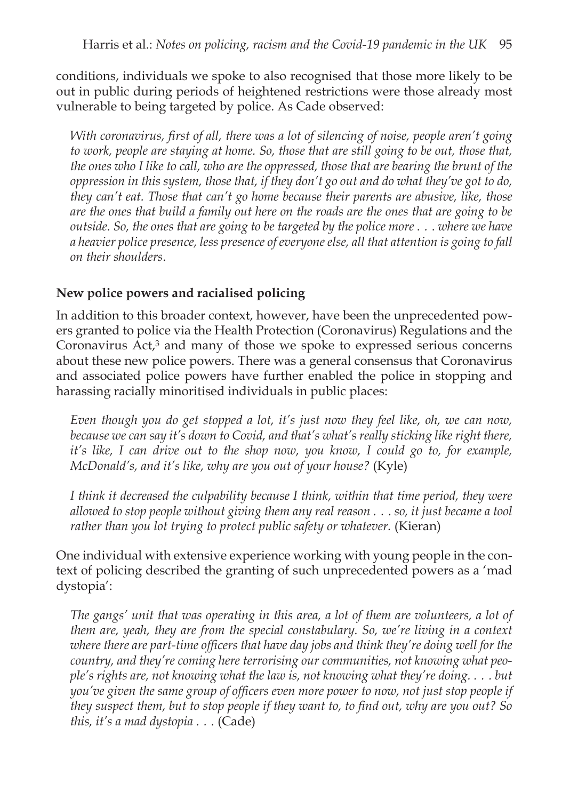conditions, individuals we spoke to also recognised that those more likely to be out in public during periods of heightened restrictions were those already most vulnerable to being targeted by police. As Cade observed:

*With coronavirus, first of all, there was a lot of silencing of noise, people aren't going to work, people are staying at home. So, those that are still going to be out, those that, the ones who I like to call, who are the oppressed, those that are bearing the brunt of the oppression in this system, those that, if they don't go out and do what they've got to do, they can't eat. Those that can't go home because their parents are abusive, like, those are the ones that build a family out here on the roads are the ones that are going to be outside. So, the ones that are going to be targeted by the police more . . . where we have a heavier police presence, less presence of everyone else, all that attention is going to fall on their shoulders*.

#### **New police powers and racialised policing**

In addition to this broader context, however, have been the unprecedented powers granted to police via the Health Protection (Coronavirus) Regulations and the Coronavirus  $\text{Act}^3$  and many of those we spoke to expressed serious concerns about these new police powers. There was a general consensus that Coronavirus and associated police powers have further enabled the police in stopping and harassing racially minoritised individuals in public places:

*Even though you do get stopped a lot, it's just now they feel like, oh, we can now, because we can say it's down to Covid, and that's what's really sticking like right there, it's like, I can drive out to the shop now, you know, I could go to, for example, McDonald's, and it's like, why are you out of your house?* (Kyle)

*I think it decreased the culpability because I think, within that time period, they were allowed to stop people without giving them any real reason . . . so, it just became a tool rather than you lot trying to protect public safety or whatever.* (Kieran)

One individual with extensive experience working with young people in the context of policing described the granting of such unprecedented powers as a 'mad dystopia':

*The gangs' unit that was operating in this area, a lot of them are volunteers, a lot of them are, yeah, they are from the special constabulary. So, we're living in a context where there are part-time officers that have day jobs and think they're doing well for the country, and they're coming here terrorising our communities, not knowing what people's rights are, not knowing what the law is, not knowing what they're doing. . . . but you've given the same group of officers even more power to now, not just stop people if they suspect them, but to stop people if they want to, to find out, why are you out? So this, it's a mad dystopia . . .* (Cade)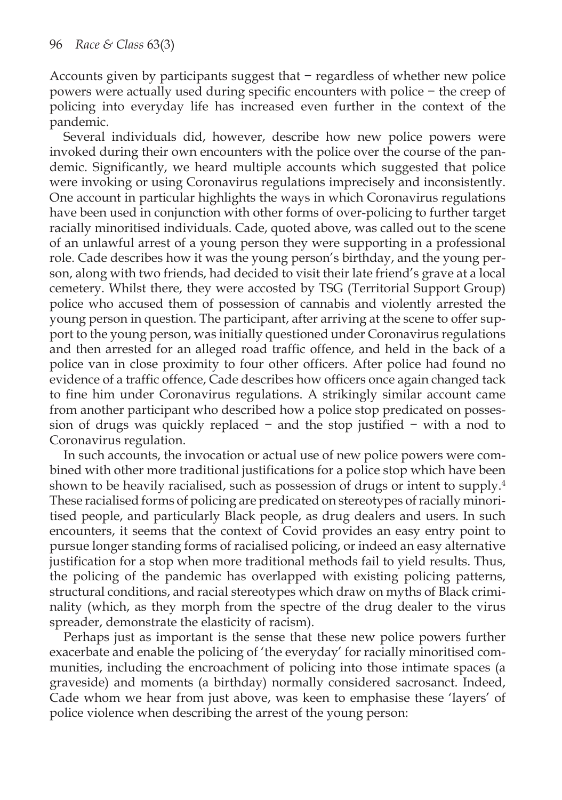Accounts given by participants suggest that − regardless of whether new police powers were actually used during specific encounters with police − the creep of policing into everyday life has increased even further in the context of the pandemic.

Several individuals did, however, describe how new police powers were invoked during their own encounters with the police over the course of the pandemic. Significantly, we heard multiple accounts which suggested that police were invoking or using Coronavirus regulations imprecisely and inconsistently. One account in particular highlights the ways in which Coronavirus regulations have been used in conjunction with other forms of over-policing to further target racially minoritised individuals. Cade, quoted above, was called out to the scene of an unlawful arrest of a young person they were supporting in a professional role. Cade describes how it was the young person's birthday, and the young person, along with two friends, had decided to visit their late friend's grave at a local cemetery. Whilst there, they were accosted by TSG (Territorial Support Group) police who accused them of possession of cannabis and violently arrested the young person in question. The participant, after arriving at the scene to offer support to the young person, was initially questioned under Coronavirus regulations and then arrested for an alleged road traffic offence, and held in the back of a police van in close proximity to four other officers. After police had found no evidence of a traffic offence, Cade describes how officers once again changed tack to fine him under Coronavirus regulations. A strikingly similar account came from another participant who described how a police stop predicated on possession of drugs was quickly replaced − and the stop justified − with a nod to Coronavirus regulation.

In such accounts, the invocation or actual use of new police powers were combined with other more traditional justifications for a police stop which have been shown to be heavily racialised, such as possession of drugs or intent to supply.4 These racialised forms of policing are predicated on stereotypes of racially minoritised people, and particularly Black people, as drug dealers and users. In such encounters, it seems that the context of Covid provides an easy entry point to pursue longer standing forms of racialised policing, or indeed an easy alternative justification for a stop when more traditional methods fail to yield results. Thus, the policing of the pandemic has overlapped with existing policing patterns, structural conditions, and racial stereotypes which draw on myths of Black criminality (which, as they morph from the spectre of the drug dealer to the virus spreader, demonstrate the elasticity of racism).

Perhaps just as important is the sense that these new police powers further exacerbate and enable the policing of 'the everyday' for racially minoritised communities, including the encroachment of policing into those intimate spaces (a graveside) and moments (a birthday) normally considered sacrosanct. Indeed, Cade whom we hear from just above, was keen to emphasise these 'layers' of police violence when describing the arrest of the young person: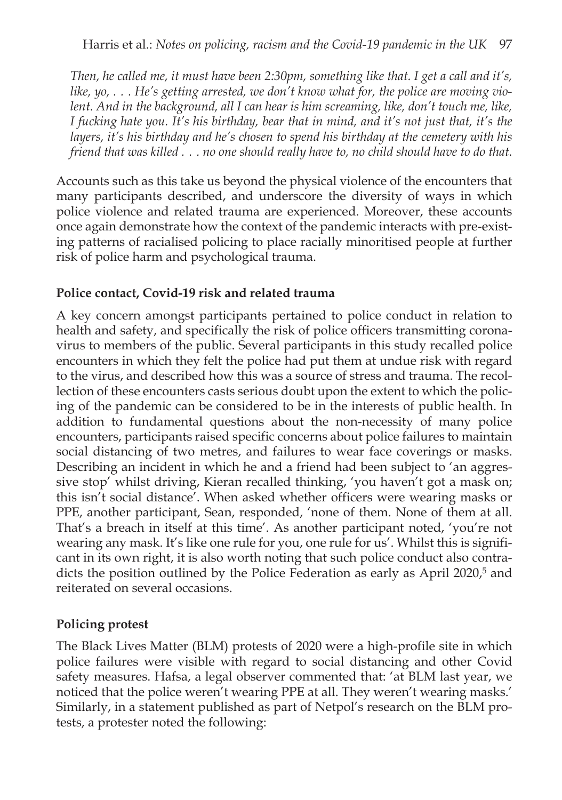*Then, he called me, it must have been 2:30pm, something like that. I get a call and it's, like, yo, . . . He's getting arrested, we don't know what for, the police are moving violent. And in the background, all I can hear is him screaming, like, don't touch me, like, I fucking hate you. It's his birthday, bear that in mind, and it's not just that, it's the layers, it's his birthday and he's chosen to spend his birthday at the cemetery with his friend that was killed . . . no one should really have to, no child should have to do that.*

Accounts such as this take us beyond the physical violence of the encounters that many participants described, and underscore the diversity of ways in which police violence and related trauma are experienced. Moreover, these accounts once again demonstrate how the context of the pandemic interacts with pre-existing patterns of racialised policing to place racially minoritised people at further risk of police harm and psychological trauma.

#### **Police contact, Covid-19 risk and related trauma**

A key concern amongst participants pertained to police conduct in relation to health and safety, and specifically the risk of police officers transmitting coronavirus to members of the public. Several participants in this study recalled police encounters in which they felt the police had put them at undue risk with regard to the virus, and described how this was a source of stress and trauma. The recollection of these encounters casts serious doubt upon the extent to which the policing of the pandemic can be considered to be in the interests of public health. In addition to fundamental questions about the non-necessity of many police encounters, participants raised specific concerns about police failures to maintain social distancing of two metres, and failures to wear face coverings or masks. Describing an incident in which he and a friend had been subject to 'an aggressive stop' whilst driving, Kieran recalled thinking, 'you haven't got a mask on; this isn't social distance'. When asked whether officers were wearing masks or PPE, another participant, Sean, responded, 'none of them. None of them at all. That's a breach in itself at this time'. As another participant noted, 'you're not wearing any mask. It's like one rule for you, one rule for us'. Whilst this is significant in its own right, it is also worth noting that such police conduct also contradicts the position outlined by the Police Federation as early as April 2020,<sup>5</sup> and reiterated on several occasions.

### **Policing protest**

The Black Lives Matter (BLM) protests of 2020 were a high-profile site in which police failures were visible with regard to social distancing and other Covid safety measures. Hafsa, a legal observer commented that: 'at BLM last year, we noticed that the police weren't wearing PPE at all. They weren't wearing masks.' Similarly, in a statement published as part of Netpol's research on the BLM protests, a protester noted the following: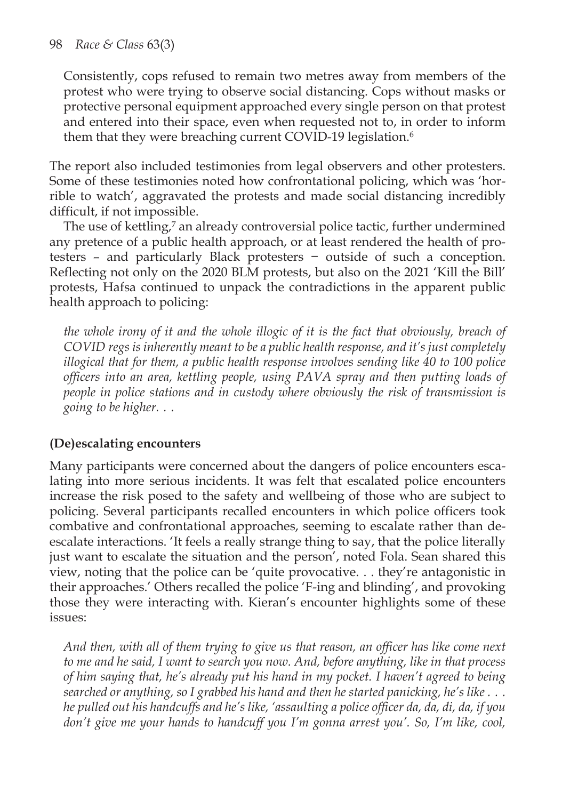Consistently, cops refused to remain two metres away from members of the protest who were trying to observe social distancing. Cops without masks or protective personal equipment approached every single person on that protest and entered into their space, even when requested not to, in order to inform them that they were breaching current COVID-19 legislation.<sup>6</sup>

The report also included testimonies from legal observers and other protesters. Some of these testimonies noted how confrontational policing, which was 'horrible to watch', aggravated the protests and made social distancing incredibly difficult, if not impossible.

The use of kettling,<sup>7</sup> an already controversial police tactic, further undermined any pretence of a public health approach, or at least rendered the health of protesters – and particularly Black protesters − outside of such a conception. Reflecting not only on the 2020 BLM protests, but also on the 2021 'Kill the Bill' protests, Hafsa continued to unpack the contradictions in the apparent public health approach to policing:

*the whole irony of it and the whole illogic of it is the fact that obviously, breach of COVID regs is inherently meant to be a public health response, and it's just completely illogical that for them, a public health response involves sending like 40 to 100 police officers into an area, kettling people, using PAVA spray and then putting loads of people in police stations and in custody where obviously the risk of transmission is going to be higher. . .*

### **(De)escalating encounters**

Many participants were concerned about the dangers of police encounters escalating into more serious incidents. It was felt that escalated police encounters increase the risk posed to the safety and wellbeing of those who are subject to policing. Several participants recalled encounters in which police officers took combative and confrontational approaches, seeming to escalate rather than deescalate interactions. 'It feels a really strange thing to say, that the police literally just want to escalate the situation and the person', noted Fola. Sean shared this view, noting that the police can be 'quite provocative. . . they're antagonistic in their approaches.' Others recalled the police 'F-ing and blinding', and provoking those they were interacting with. Kieran's encounter highlights some of these issues:

*And then, with all of them trying to give us that reason, an officer has like come next to me and he said, I want to search you now. And, before anything, like in that process of him saying that, he's already put his hand in my pocket. I haven't agreed to being searched or anything, so I grabbed his hand and then he started panicking, he's like . . . he pulled out his handcuffs and he's like, 'assaulting a police officer da, da, di, da, if you don't give me your hands to handcuff you I'm gonna arrest you'. So, I'm like, cool,*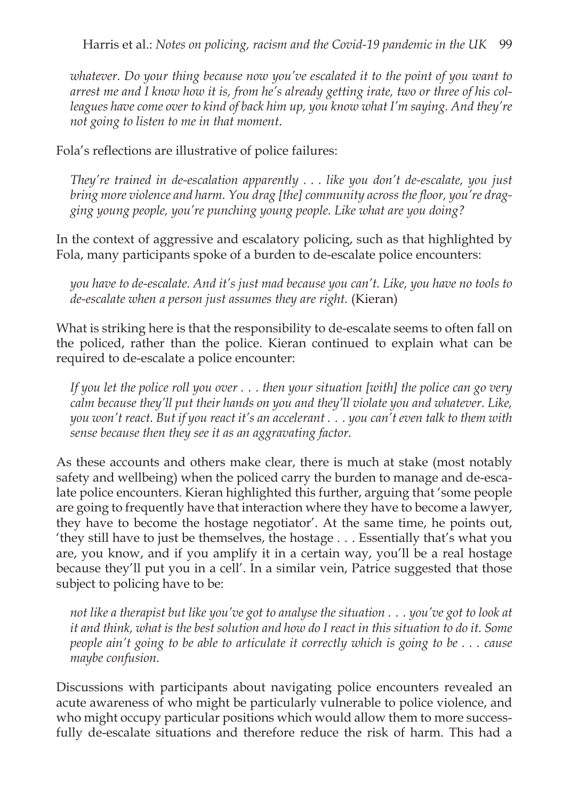*whatever. Do your thing because now you've escalated it to the point of you want to arrest me and I know how it is, from he's already getting irate, two or three of his colleagues have come over to kind of back him up, you know what I'm saying. And they're not going to listen to me in that moment*.

Fola's reflections are illustrative of police failures:

*They're trained in de-escalation apparently . . . like you don't de-escalate, you just bring more violence and harm. You drag [the] community across the floor, you're dragging young people, you're punching young people. Like what are you doing?*

In the context of aggressive and escalatory policing, such as that highlighted by Fola, many participants spoke of a burden to de-escalate police encounters:

*you have to de-escalate. And it's just mad because you can't. Like, you have no tools to de-escalate when a person just assumes they are right.* (Kieran)

What is striking here is that the responsibility to de-escalate seems to often fall on the policed, rather than the police. Kieran continued to explain what can be required to de-escalate a police encounter:

*If you let the police roll you over . . . then your situation [with] the police can go very calm because they'll put their hands on you and they'll violate you and whatever. Like, you won't react. But if you react it's an accelerant . . . you can't even talk to them with sense because then they see it as an aggravating factor.*

As these accounts and others make clear, there is much at stake (most notably safety and wellbeing) when the policed carry the burden to manage and de-escalate police encounters. Kieran highlighted this further, arguing that 'some people are going to frequently have that interaction where they have to become a lawyer, they have to become the hostage negotiator'. At the same time, he points out, 'they still have to just be themselves, the hostage . . . Essentially that's what you are, you know, and if you amplify it in a certain way, you'll be a real hostage because they'll put you in a cell'. In a similar vein, Patrice suggested that those subject to policing have to be:

*not like a therapist but like you've got to analyse the situation . . . you've got to look at it and think, what is the best solution and how do I react in this situation to do it. Some people ain't going to be able to articulate it correctly which is going to be . . . cause maybe confusion.*

Discussions with participants about navigating police encounters revealed an acute awareness of who might be particularly vulnerable to police violence, and who might occupy particular positions which would allow them to more successfully de-escalate situations and therefore reduce the risk of harm. This had a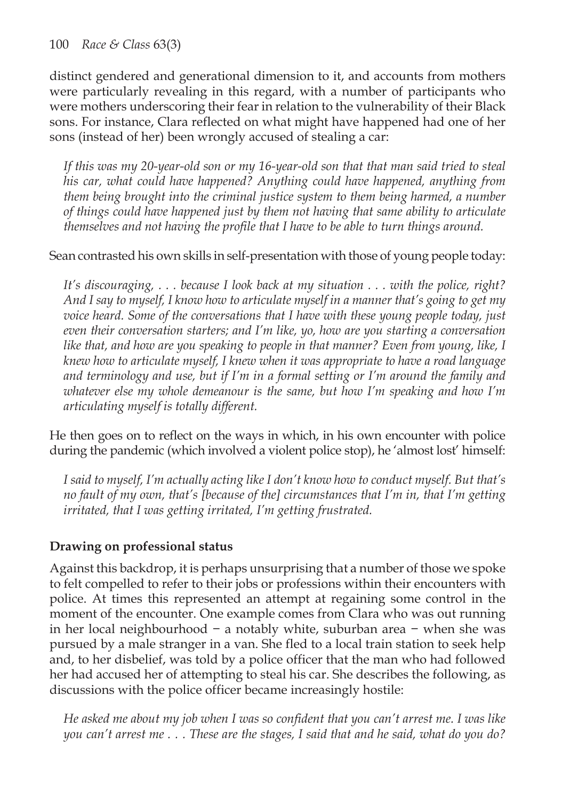distinct gendered and generational dimension to it, and accounts from mothers were particularly revealing in this regard, with a number of participants who were mothers underscoring their fear in relation to the vulnerability of their Black sons. For instance, Clara reflected on what might have happened had one of her sons (instead of her) been wrongly accused of stealing a car:

*If this was my 20-year-old son or my 16-year-old son that that man said tried to steal his car, what could have happened? Anything could have happened, anything from them being brought into the criminal justice system to them being harmed, a number of things could have happened just by them not having that same ability to articulate themselves and not having the profile that I have to be able to turn things around.*

#### Sean contrasted his own skills in self-presentation with those of young people today:

*It's discouraging, . . . because I look back at my situation . . . with the police, right? And I say to myself, I know how to articulate myself in a manner that's going to get my voice heard. Some of the conversations that I have with these young people today, just even their conversation starters; and I'm like, yo, how are you starting a conversation like that, and how are you speaking to people in that manner? Even from young, like, I knew how to articulate myself, I knew when it was appropriate to have a road language and terminology and use, but if I'm in a formal setting or I'm around the family and whatever else my whole demeanour is the same, but how I'm speaking and how I'm articulating myself is totally different.*

He then goes on to reflect on the ways in which, in his own encounter with police during the pandemic (which involved a violent police stop), he 'almost lost' himself:

*I said to myself, I'm actually acting like I don't know how to conduct myself. But that's no fault of my own, that's [because of the] circumstances that I'm in, that I'm getting irritated, that I was getting irritated, I'm getting frustrated.*

### **Drawing on professional status**

Against this backdrop, it is perhaps unsurprising that a number of those we spoke to felt compelled to refer to their jobs or professions within their encounters with police. At times this represented an attempt at regaining some control in the moment of the encounter. One example comes from Clara who was out running in her local neighbourhood − a notably white, suburban area − when she was pursued by a male stranger in a van. She fled to a local train station to seek help and, to her disbelief, was told by a police officer that the man who had followed her had accused her of attempting to steal his car. She describes the following, as discussions with the police officer became increasingly hostile:

*He asked me about my job when I was so confident that you can't arrest me. I was like you can't arrest me . . . These are the stages, I said that and he said, what do you do?*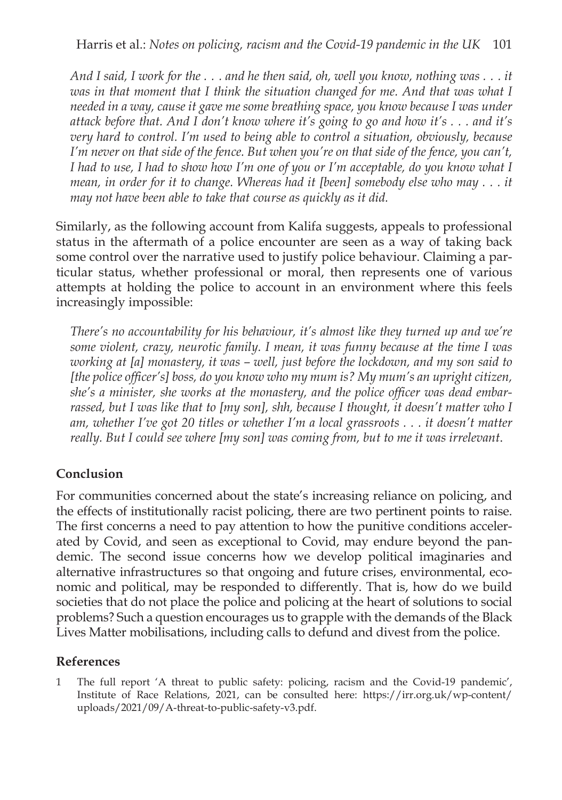Harris et al.: *Notes on policing, racism and the Covid-19 pandemic in the UK* 101

*And I said, I work for the . . . and he then said, oh, well you know, nothing was . . . it was in that moment that I think the situation changed for me. And that was what I needed in a way, cause it gave me some breathing space, you know because I was under attack before that. And I don't know where it's going to go and how it's . . . and it's very hard to control. I'm used to being able to control a situation, obviously, because I'm never on that side of the fence. But when you're on that side of the fence, you can't, I had to use, I had to show how I'm one of you or I'm acceptable, do you know what I mean, in order for it to change. Whereas had it [been] somebody else who may . . . it may not have been able to take that course as quickly as it did.*

Similarly, as the following account from Kalifa suggests, appeals to professional status in the aftermath of a police encounter are seen as a way of taking back some control over the narrative used to justify police behaviour. Claiming a particular status, whether professional or moral, then represents one of various attempts at holding the police to account in an environment where this feels increasingly impossible:

*There's no accountability for his behaviour, it's almost like they turned up and we're some violent, crazy, neurotic family. I mean, it was funny because at the time I was working at [a] monastery, it was – well, just before the lockdown, and my son said to [the police officer's] boss, do you know who my mum is? My mum's an upright citizen, she's a minister, she works at the monastery, and the police officer was dead embarrassed, but I was like that to [my son], shh, because I thought, it doesn't matter who I am, whether I've got 20 titles or whether I'm a local grassroots . . . it doesn't matter really. But I could see where [my son] was coming from, but to me it was irrelevant*.

#### **Conclusion**

For communities concerned about the state's increasing reliance on policing, and the effects of institutionally racist policing, there are two pertinent points to raise. The first concerns a need to pay attention to how the punitive conditions accelerated by Covid, and seen as exceptional to Covid, may endure beyond the pandemic. The second issue concerns how we develop political imaginaries and alternative infrastructures so that ongoing and future crises, environmental, economic and political, may be responded to differently. That is, how do we build societies that do not place the police and policing at the heart of solutions to social problems? Such a question encourages us to grapple with the demands of the Black Lives Matter mobilisations, including calls to defund and divest from the police.

#### **References**

1 The full report 'A threat to public safety: policing, racism and the Covid-19 pandemic', Institute of Race Relations, 2021, can be consulted here: [https://irr.org.uk/wp-content/](https://irr.org.uk/wp-content/uploads/2021/09/A-threat-to-public-safety-v3.pdf) [uploads/2021/09/A-threat-to-public-safety-v3.pdf](https://irr.org.uk/wp-content/uploads/2021/09/A-threat-to-public-safety-v3.pdf).